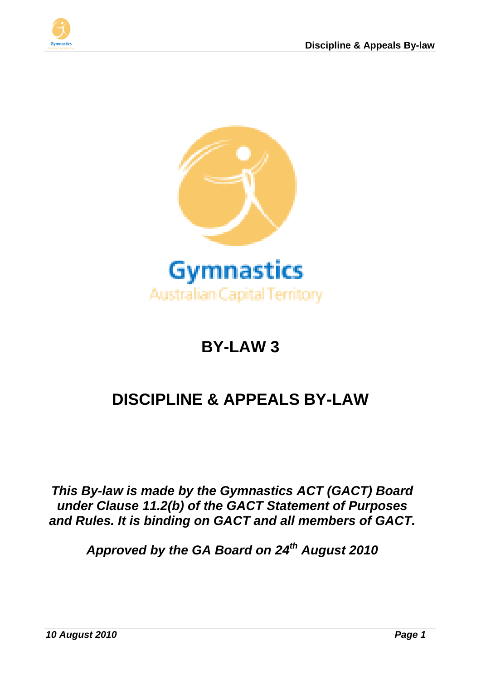



# **BY-LAW 3**

# **DISCIPLINE & APPEALS BY-LAW**

*This By-law is made by the Gymnastics ACT (GACT) Board under Clause 11.2(b) of the GACT Statement of Purposes and Rules. It is binding on GACT and all members of GACT.*

*Approved by the GA Board on 24th August 2010*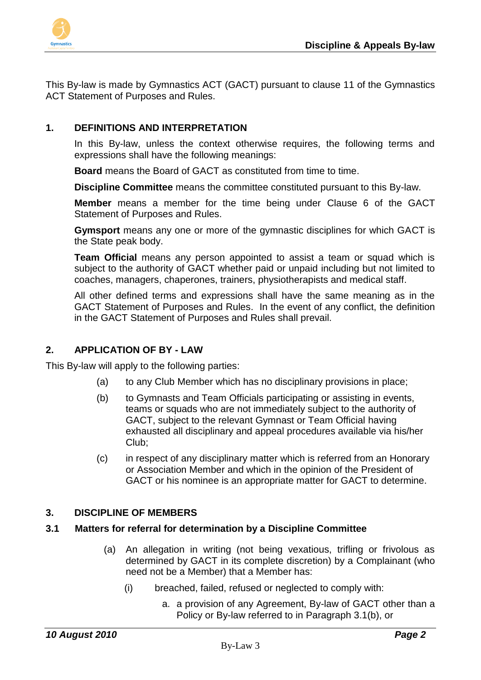

This By-law is made by Gymnastics ACT (GACT) pursuant to clause 11 of the Gymnastics ACT Statement of Purposes and Rules.

## **1. DEFINITIONS AND INTERPRETATION**

In this By-law, unless the context otherwise requires, the following terms and expressions shall have the following meanings:

**Board** means the Board of GACT as constituted from time to time.

**Discipline Committee** means the committee constituted pursuant to this By-law.

**Member** means a member for the time being under Clause 6 of the GACT Statement of Purposes and Rules.

**Gymsport** means any one or more of the gymnastic disciplines for which GACT is the State peak body.

**Team Official** means any person appointed to assist a team or squad which is subject to the authority of GACT whether paid or unpaid including but not limited to coaches, managers, chaperones, trainers, physiotherapists and medical staff.

All other defined terms and expressions shall have the same meaning as in the GACT Statement of Purposes and Rules. In the event of any conflict, the definition in the GACT Statement of Purposes and Rules shall prevail.

#### **2. APPLICATION OF BY - LAW**

This By-law will apply to the following parties:

- (a) to any Club Member which has no disciplinary provisions in place;
- (b) to Gymnasts and Team Officials participating or assisting in events, teams or squads who are not immediately subject to the authority of GACT, subject to the relevant Gymnast or Team Official having exhausted all disciplinary and appeal procedures available via his/her Club;
- (c) in respect of any disciplinary matter which is referred from an Honorary or Association Member and which in the opinion of the President of GACT or his nominee is an appropriate matter for GACT to determine.

#### **3. DISCIPLINE OF MEMBERS**

#### **3.1 Matters for referral for determination by a Discipline Committee**

- (a) An allegation in writing (not being vexatious, trifling or frivolous as determined by GACT in its complete discretion) by a Complainant (who need not be a Member) that a Member has:
	- (i) breached, failed, refused or neglected to comply with:
		- a. a provision of any Agreement, By-law of GACT other than a Policy or By-law referred to in Paragraph 3.1(b), or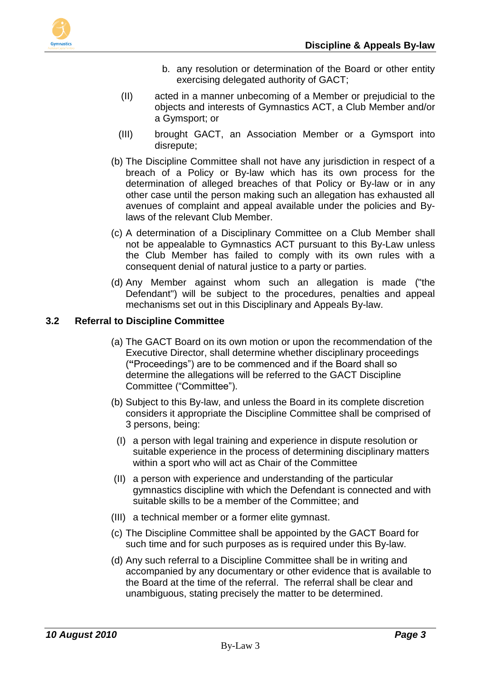

- b. any resolution or determination of the Board or other entity exercising delegated authority of GACT;
- (II) acted in a manner unbecoming of a Member or prejudicial to the objects and interests of Gymnastics ACT, a Club Member and/or a Gymsport; or
- (III) brought GACT, an Association Member or a Gymsport into disrepute;
- (b) The Discipline Committee shall not have any jurisdiction in respect of a breach of a Policy or By-law which has its own process for the determination of alleged breaches of that Policy or By-law or in any other case until the person making such an allegation has exhausted all avenues of complaint and appeal available under the policies and Bylaws of the relevant Club Member.
- (c) A determination of a Disciplinary Committee on a Club Member shall not be appealable to Gymnastics ACT pursuant to this By-Law unless the Club Member has failed to comply with its own rules with a consequent denial of natural justice to a party or parties.
- (d) Any Member against whom such an allegation is made ("the Defendant") will be subject to the procedures, penalties and appeal mechanisms set out in this Disciplinary and Appeals By-law.

# **3.2 Referral to Discipline Committee**

- (a) The GACT Board on its own motion or upon the recommendation of the Executive Director, shall determine whether disciplinary proceedings (**"**Proceedings") are to be commenced and if the Board shall so determine the allegations will be referred to the GACT Discipline Committee ("Committee").
- (b) Subject to this By-law, and unless the Board in its complete discretion considers it appropriate the Discipline Committee shall be comprised of 3 persons, being:
	- (I) a person with legal training and experience in dispute resolution or suitable experience in the process of determining disciplinary matters within a sport who will act as Chair of the Committee
- (II) a person with experience and understanding of the particular gymnastics discipline with which the Defendant is connected and with suitable skills to be a member of the Committee; and
- (III) a technical member or a former elite gymnast.
- (c) The Discipline Committee shall be appointed by the GACT Board for such time and for such purposes as is required under this By-law.
- (d) Any such referral to a Discipline Committee shall be in writing and accompanied by any documentary or other evidence that is available to the Board at the time of the referral. The referral shall be clear and unambiguous, stating precisely the matter to be determined.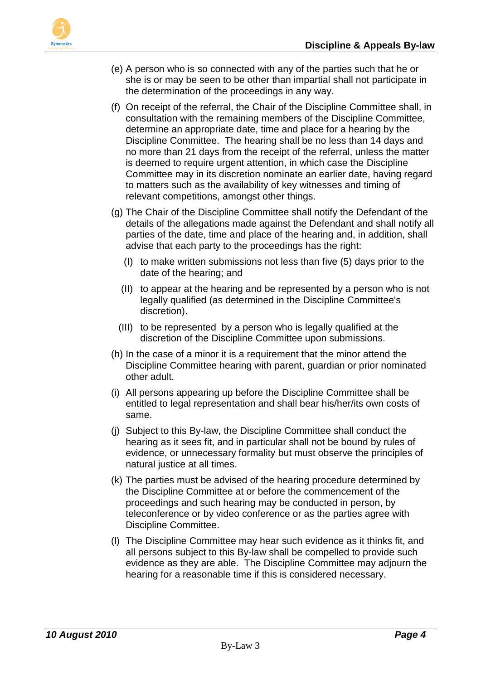

- (e) A person who is so connected with any of the parties such that he or she is or may be seen to be other than impartial shall not participate in the determination of the proceedings in any way.
- (f) On receipt of the referral, the Chair of the Discipline Committee shall, in consultation with the remaining members of the Discipline Committee, determine an appropriate date, time and place for a hearing by the Discipline Committee. The hearing shall be no less than 14 days and no more than 21 days from the receipt of the referral, unless the matter is deemed to require urgent attention, in which case the Discipline Committee may in its discretion nominate an earlier date, having regard to matters such as the availability of key witnesses and timing of relevant competitions, amongst other things.
- (g) The Chair of the Discipline Committee shall notify the Defendant of the details of the allegations made against the Defendant and shall notify all parties of the date, time and place of the hearing and, in addition, shall advise that each party to the proceedings has the right:
	- (I) to make written submissions not less than five (5) days prior to the date of the hearing; and
	- (II) to appear at the hearing and be represented by a person who is not legally qualified (as determined in the Discipline Committee's discretion).
	- (III) to be represented by a person who is legally qualified at the discretion of the Discipline Committee upon submissions.
- (h) In the case of a minor it is a requirement that the minor attend the Discipline Committee hearing with parent, guardian or prior nominated other adult.
- (i) All persons appearing up before the Discipline Committee shall be entitled to legal representation and shall bear his/her/its own costs of same.
- (j) Subject to this By-law, the Discipline Committee shall conduct the hearing as it sees fit, and in particular shall not be bound by rules of evidence, or unnecessary formality but must observe the principles of natural justice at all times.
- (k) The parties must be advised of the hearing procedure determined by the Discipline Committee at or before the commencement of the proceedings and such hearing may be conducted in person, by teleconference or by video conference or as the parties agree with Discipline Committee.
- (l) The Discipline Committee may hear such evidence as it thinks fit, and all persons subject to this By-law shall be compelled to provide such evidence as they are able. The Discipline Committee may adjourn the hearing for a reasonable time if this is considered necessary.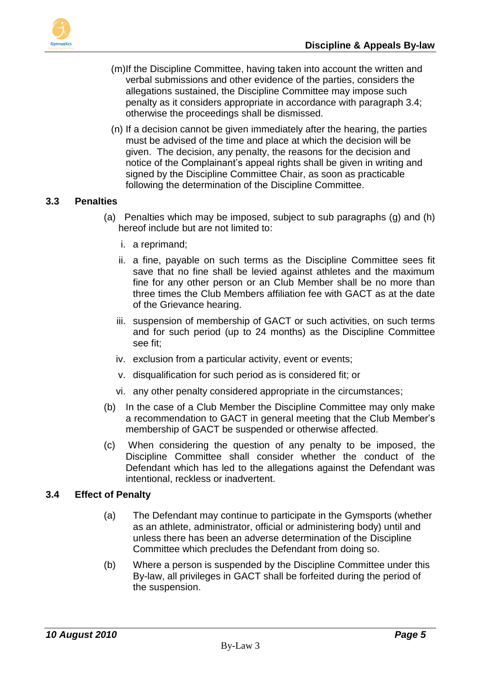



- (m)If the Discipline Committee, having taken into account the written and verbal submissions and other evidence of the parties, considers the allegations sustained, the Discipline Committee may impose such penalty as it considers appropriate in accordance with paragraph 3.4; otherwise the proceedings shall be dismissed.
- (n) If a decision cannot be given immediately after the hearing, the parties must be advised of the time and place at which the decision will be given. The decision, any penalty, the reasons for the decision and notice of the Complainant's appeal rights shall be given in writing and signed by the Discipline Committee Chair, as soon as practicable following the determination of the Discipline Committee.

### **3.3 Penalties**

- (a) Penalties which may be imposed, subject to sub paragraphs (g) and (h) hereof include but are not limited to:
	- i. a reprimand;
	- ii. a fine, payable on such terms as the Discipline Committee sees fit save that no fine shall be levied against athletes and the maximum fine for any other person or an Club Member shall be no more than three times the Club Members affiliation fee with GACT as at the date of the Grievance hearing.
	- iii. suspension of membership of GACT or such activities, on such terms and for such period (up to 24 months) as the Discipline Committee see fit;
	- iv. exclusion from a particular activity, event or events;
	- v. disqualification for such period as is considered fit; or
	- vi. any other penalty considered appropriate in the circumstances;
- (b) In the case of a Club Member the Discipline Committee may only make a recommendation to GACT in general meeting that the Club Member's membership of GACT be suspended or otherwise affected.
- (c) When considering the question of any penalty to be imposed, the Discipline Committee shall consider whether the conduct of the Defendant which has led to the allegations against the Defendant was intentional, reckless or inadvertent.

#### **3.4 Effect of Penalty**

- (a) The Defendant may continue to participate in the Gymsports (whether as an athlete, administrator, official or administering body) until and unless there has been an adverse determination of the Discipline Committee which precludes the Defendant from doing so.
- (b) Where a person is suspended by the Discipline Committee under this By-law, all privileges in GACT shall be forfeited during the period of the suspension.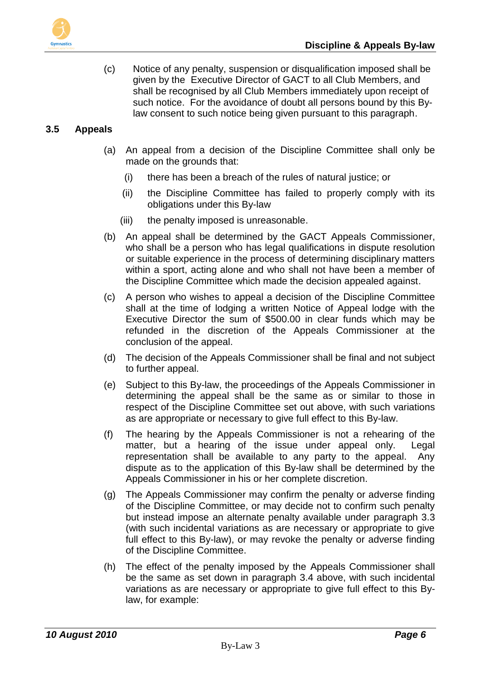

(c) Notice of any penalty, suspension or disqualification imposed shall be given by the Executive Director of GACT to all Club Members, and shall be recognised by all Club Members immediately upon receipt of such notice. For the avoidance of doubt all persons bound by this Bylaw consent to such notice being given pursuant to this paragraph.

## **3.5 Appeals**

- (a) An appeal from a decision of the Discipline Committee shall only be made on the grounds that:
	- (i) there has been a breach of the rules of natural justice; or
	- (ii) the Discipline Committee has failed to properly comply with its obligations under this By-law
	- (iii) the penalty imposed is unreasonable.
- (b) An appeal shall be determined by the GACT Appeals Commissioner, who shall be a person who has legal qualifications in dispute resolution or suitable experience in the process of determining disciplinary matters within a sport, acting alone and who shall not have been a member of the Discipline Committee which made the decision appealed against.
- (c) A person who wishes to appeal a decision of the Discipline Committee shall at the time of lodging a written Notice of Appeal lodge with the Executive Director the sum of \$500.00 in clear funds which may be refunded in the discretion of the Appeals Commissioner at the conclusion of the appeal.
- (d) The decision of the Appeals Commissioner shall be final and not subject to further appeal.
- (e) Subject to this By-law, the proceedings of the Appeals Commissioner in determining the appeal shall be the same as or similar to those in respect of the Discipline Committee set out above, with such variations as are appropriate or necessary to give full effect to this By-law.
- (f) The hearing by the Appeals Commissioner is not a rehearing of the matter, but a hearing of the issue under appeal only. Legal representation shall be available to any party to the appeal. Any dispute as to the application of this By-law shall be determined by the Appeals Commissioner in his or her complete discretion.
- (g) The Appeals Commissioner may confirm the penalty or adverse finding of the Discipline Committee, or may decide not to confirm such penalty but instead impose an alternate penalty available under paragraph 3.3 (with such incidental variations as are necessary or appropriate to give full effect to this By-law), or may revoke the penalty or adverse finding of the Discipline Committee.
- (h) The effect of the penalty imposed by the Appeals Commissioner shall be the same as set down in paragraph 3.4 above, with such incidental variations as are necessary or appropriate to give full effect to this Bylaw, for example: